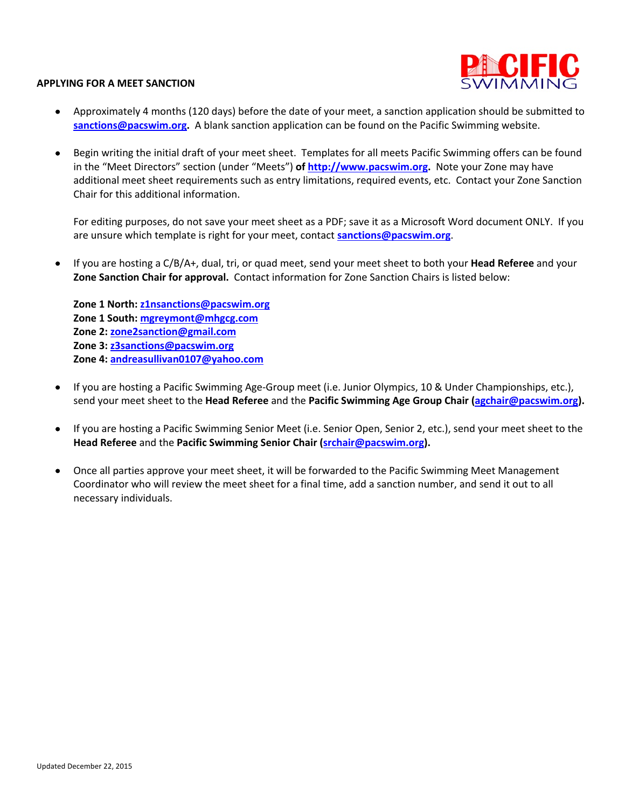

## **APPLYING FOR A MEET SANCTION**

- Approximately 4 months (120 days) before the date of your meet, a sanction application should be submitted to **sanctions@pacswim.org.** A blank sanction application can be found on the Pacific Swimming website.
- Begin writing the initial draft of your meet sheet. Templates for all meets Pacific Swimming offers can be found in the "Meet Directors" section (under "Meets") **of http://www.pacswim.org.** Note your Zone may have additional meet sheet requirements such as entry limitations, required events, etc. Contact your Zone Sanction Chair for this additional information.

For editing purposes, do not save your meet sheet as a PDF; save it as a Microsoft Word document ONLY. If you are unsure which template is right for your meet, contact **sanctions@pacswim.org**.

• If you are hosting a C/B/A+, dual, tri, or quad meet, send your meet sheet to both your **Head Referee** and your **Zone Sanction Chair for approval.** Contact information for Zone Sanction Chairs is listed below:

**Zone 1 North: z1nsanctions@pacswim.org Zone 1 South: mgreymont@mhgcg.com Zone 2: zone2sanction@gmail.com Zone 3: z3sanctions@pacswim.org Zone 4: andreasullivan0107@yahoo.com**

- If you are hosting a Pacific Swimming Age-Group meet (i.e. Junior Olympics, 10 & Under Championships, etc.), send your meet sheet to the **Head Referee** and the **Pacific Swimming Age Group Chair (agchair@pacswim.org).**
- If you are hosting a Pacific Swimming Senior Meet (i.e. Senior Open, Senior 2, etc.), send your meet sheet to the **Head Referee** and the **Pacific Swimming Senior Chair (srchair@pacswim.org).**
- Once all parties approve your meet sheet, it will be forwarded to the Pacific Swimming Meet Management Coordinator who will review the meet sheet for a final time, add a sanction number, and send it out to all necessary individuals.